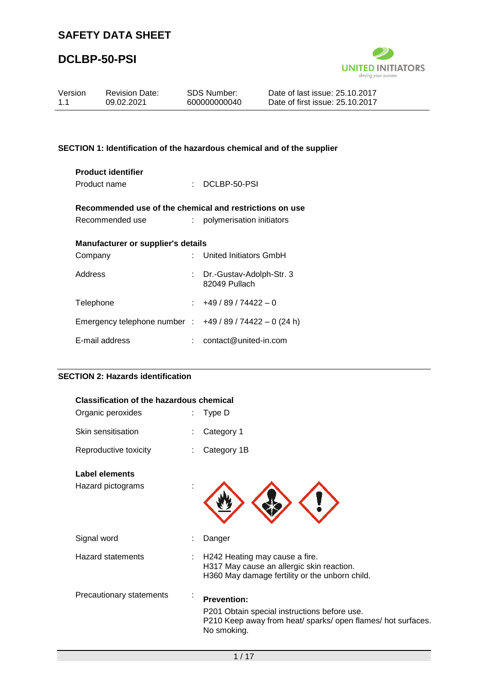# **DCLBP-50-PSI**



| Version<br>1.1                                          | <b>Revision Date:</b><br>09.02.2021                                     |  | SDS Number:<br>600000000040               | Date of last issue: 25.10.2017<br>Date of first issue: 25.10.2017 |  |  |
|---------------------------------------------------------|-------------------------------------------------------------------------|--|-------------------------------------------|-------------------------------------------------------------------|--|--|
|                                                         |                                                                         |  |                                           |                                                                   |  |  |
|                                                         | SECTION 1: Identification of the hazardous chemical and of the supplier |  |                                           |                                                                   |  |  |
|                                                         | <b>Product identifier</b><br>Product name                               |  | $\therefore$ DCLBP-50-PSI                 |                                                                   |  |  |
| Recommended use of the chemical and restrictions on use |                                                                         |  |                                           |                                                                   |  |  |
|                                                         | Recommended use                                                         |  | : polymerisation initiators               |                                                                   |  |  |
|                                                         | <b>Manufacturer or supplier's details</b>                               |  |                                           |                                                                   |  |  |
| Company                                                 |                                                                         |  | United Initiators GmbH                    |                                                                   |  |  |
| Address                                                 |                                                                         |  | Dr.-Gustav-Adolph-Str. 3<br>82049 Pullach |                                                                   |  |  |
| Telephone                                               |                                                                         |  | $+49/89/74422 - 0$                        |                                                                   |  |  |
|                                                         | Emergency telephone number : $+49/89/74422 - 0$ (24 h)                  |  |                                           |                                                                   |  |  |

## **SECTION 2: Hazards identification**

E-mail address : contact@united-in.com

| <b>Classification of the hazardous chemical</b> |  |                                                                                                                                                   |  |  |
|-------------------------------------------------|--|---------------------------------------------------------------------------------------------------------------------------------------------------|--|--|
| Organic peroxides                               |  | Type D                                                                                                                                            |  |  |
| Skin sensitisation                              |  | Category 1                                                                                                                                        |  |  |
| Reproductive toxicity                           |  | Category 1B                                                                                                                                       |  |  |
| Label elements                                  |  |                                                                                                                                                   |  |  |
| Hazard pictograms                               |  |                                                                                                                                                   |  |  |
| Signal word                                     |  | Danger                                                                                                                                            |  |  |
| <b>Hazard statements</b>                        |  | H242 Heating may cause a fire.<br>H317 May cause an allergic skin reaction.<br>H360 May damage fertility or the unborn child.                     |  |  |
| Precautionary statements                        |  | <b>Prevention:</b><br>P201 Obtain special instructions before use.<br>P210 Keep away from heat/ sparks/ open flames/ hot surfaces.<br>No smoking. |  |  |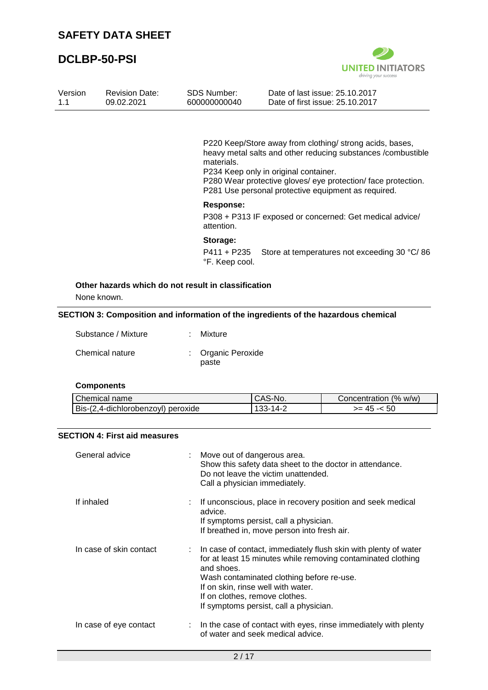

| Version | <b>Revision Date:</b> | SDS Number:  | Date of last issue: 25.10.2017  |
|---------|-----------------------|--------------|---------------------------------|
| 11      | 09.02.2021            | 600000000040 | Date of first issue: 25.10.2017 |
|         |                       |              |                                 |

P220 Keep/Store away from clothing/ strong acids, bases, heavy metal salts and other reducing substances /combustible materials.

P234 Keep only in original container. P280 Wear protective gloves/ eye protection/ face protection. P281 Use personal protective equipment as required.

#### **Response:**

P308 + P313 IF exposed or concerned: Get medical advice/ attention.

#### **Storage:**

P411 + P235 Store at temperatures not exceeding 30 °C/ 86 °F. Keep cool.

## **Other hazards which do not result in classification**

None known.

#### **SECTION 3: Composition and information of the ingredients of the hazardous chemical**

| Substance / Mixture | : Mixture                   |
|---------------------|-----------------------------|
| Chemical nature     | : Organic Peroxide<br>paste |

### **Components**

| Chemical name                      | CAS-No.  | Concentration (% w/w) |
|------------------------------------|----------|-----------------------|
| Bis-(2,4-dichlorobenzoyl) peroxide | 133-14-2 | >= 45 -<              |

## **SECTION 4: First aid measures**

| General advice          | Move out of dangerous area.<br>Show this safety data sheet to the doctor in attendance.<br>Do not leave the victim unattended.<br>Call a physician immediately.                                                                                                                                                |
|-------------------------|----------------------------------------------------------------------------------------------------------------------------------------------------------------------------------------------------------------------------------------------------------------------------------------------------------------|
| If inhaled              | : If unconscious, place in recovery position and seek medical<br>advice.<br>If symptoms persist, call a physician.<br>If breathed in, move person into fresh air.                                                                                                                                              |
| In case of skin contact | : In case of contact, immediately flush skin with plenty of water<br>for at least 15 minutes while removing contaminated clothing<br>and shoes.<br>Wash contaminated clothing before re-use.<br>If on skin, rinse well with water.<br>If on clothes, remove clothes.<br>If symptoms persist, call a physician. |
| In case of eye contact  | : In the case of contact with eyes, rinse immediately with plenty<br>of water and seek medical advice.                                                                                                                                                                                                         |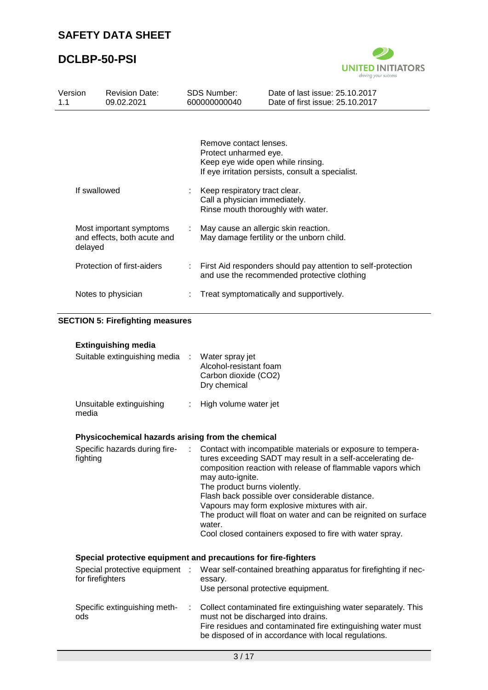

| Version<br>1.1 |                            | <b>Revision Date:</b><br>09.02.2021                                                                                                         |    | <b>SDS Number:</b><br>600000000040                                                                   | Date of last issue: 25.10.2017<br>Date of first issue: 25.10.2017                                                                                                                                                                                                                                                                                                                                                           |
|----------------|----------------------------|---------------------------------------------------------------------------------------------------------------------------------------------|----|------------------------------------------------------------------------------------------------------|-----------------------------------------------------------------------------------------------------------------------------------------------------------------------------------------------------------------------------------------------------------------------------------------------------------------------------------------------------------------------------------------------------------------------------|
|                |                            |                                                                                                                                             |    | Remove contact lenses.<br>Protect unharmed eye.<br>Keep eye wide open while rinsing.                 | If eye irritation persists, consult a specialist.                                                                                                                                                                                                                                                                                                                                                                           |
|                | If swallowed               |                                                                                                                                             |    | Keep respiratory tract clear.<br>Call a physician immediately.<br>Rinse mouth thoroughly with water. |                                                                                                                                                                                                                                                                                                                                                                                                                             |
|                | delayed                    | Most important symptoms<br>May cause an allergic skin reaction.<br>and effects, both acute and<br>May damage fertility or the unborn child. |    |                                                                                                      |                                                                                                                                                                                                                                                                                                                                                                                                                             |
|                | Protection of first-aiders |                                                                                                                                             | t. |                                                                                                      | First Aid responders should pay attention to self-protection<br>and use the recommended protective clothing                                                                                                                                                                                                                                                                                                                 |
|                |                            | Notes to physician                                                                                                                          | ÷  |                                                                                                      | Treat symptomatically and supportively.                                                                                                                                                                                                                                                                                                                                                                                     |
|                |                            | <b>SECTION 5: Firefighting measures</b>                                                                                                     |    |                                                                                                      |                                                                                                                                                                                                                                                                                                                                                                                                                             |
|                |                            | <b>Extinguishing media</b>                                                                                                                  |    |                                                                                                      |                                                                                                                                                                                                                                                                                                                                                                                                                             |
|                |                            | Suitable extinguishing media                                                                                                                |    | Water spray jet<br>Alcohol-resistant foam<br>Carbon dioxide (CO2)<br>Dry chemical                    |                                                                                                                                                                                                                                                                                                                                                                                                                             |
|                | media                      | Unsuitable extinguishing                                                                                                                    |    | High volume water jet                                                                                |                                                                                                                                                                                                                                                                                                                                                                                                                             |
|                |                            | Physicochemical hazards arising from the chemical                                                                                           |    |                                                                                                      |                                                                                                                                                                                                                                                                                                                                                                                                                             |
|                | fighting                   | Specific hazards during fire-                                                                                                               |    | may auto-ignite.<br>The product burns violently.<br>water.                                           | Contact with incompatible materials or exposure to tempera-<br>tures exceeding SADT may result in a self-accelerating de-<br>composition reaction with release of flammable vapors which<br>Flash back possible over considerable distance.<br>Vapours may form explosive mixtures with air.<br>The product will float on water and can be reignited on surface<br>Cool closed containers exposed to fire with water spray. |
|                |                            | Special protective equipment and precautions for fire-fighters                                                                              |    |                                                                                                      |                                                                                                                                                                                                                                                                                                                                                                                                                             |
|                | for firefighters           | Special protective equipment :                                                                                                              |    | essary.<br>Use personal protective equipment.                                                        | Wear self-contained breathing apparatus for firefighting if nec-                                                                                                                                                                                                                                                                                                                                                            |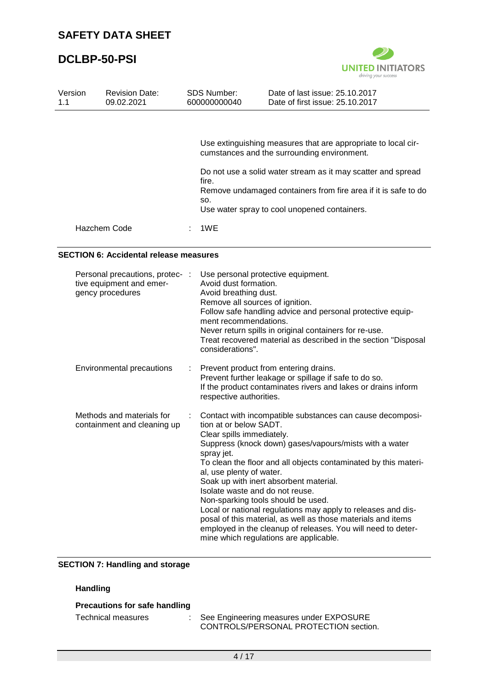

| Version<br>1.1 | <b>Revision Date:</b><br>09.02.2021 | <b>SDS Number:</b><br>600000000040 | Date of last issue: 25.10.2017<br>Date of first issue: 25.10.2017                                                                                                                                                                                                                              |
|----------------|-------------------------------------|------------------------------------|------------------------------------------------------------------------------------------------------------------------------------------------------------------------------------------------------------------------------------------------------------------------------------------------|
|                |                                     | fire.<br>SO.                       | Use extinguishing measures that are appropriate to local cir-<br>cumstances and the surrounding environment.<br>Do not use a solid water stream as it may scatter and spread<br>Remove undamaged containers from fire area if it is safe to do<br>Use water spray to cool unopened containers. |
|                | Hazchem Code                        | 1WE                                |                                                                                                                                                                                                                                                                                                |

#### **SECTION 6: Accidental release measures**

| Personal precautions, protec- :<br>tive equipment and emer-<br>gency procedures |    | Use personal protective equipment.<br>Avoid dust formation.<br>Avoid breathing dust.<br>Remove all sources of ignition.<br>Follow safe handling advice and personal protective equip-<br>ment recommendations.<br>Never return spills in original containers for re-use.<br>Treat recovered material as described in the section "Disposal<br>considerations".                                                                                                                                                                                                                                                                                       |
|---------------------------------------------------------------------------------|----|------------------------------------------------------------------------------------------------------------------------------------------------------------------------------------------------------------------------------------------------------------------------------------------------------------------------------------------------------------------------------------------------------------------------------------------------------------------------------------------------------------------------------------------------------------------------------------------------------------------------------------------------------|
| Environmental precautions                                                       | t. | Prevent product from entering drains.<br>Prevent further leakage or spillage if safe to do so.<br>If the product contaminates rivers and lakes or drains inform<br>respective authorities.                                                                                                                                                                                                                                                                                                                                                                                                                                                           |
| Methods and materials for<br>containment and cleaning up                        |    | Contact with incompatible substances can cause decomposi-<br>tion at or below SADT.<br>Clear spills immediately.<br>Suppress (knock down) gases/vapours/mists with a water<br>spray jet.<br>To clean the floor and all objects contaminated by this materi-<br>al, use plenty of water.<br>Soak up with inert absorbent material.<br>Isolate waste and do not reuse.<br>Non-sparking tools should be used.<br>Local or national regulations may apply to releases and dis-<br>posal of this material, as well as those materials and items<br>employed in the cleanup of releases. You will need to deter-<br>mine which regulations are applicable. |

## **SECTION 7: Handling and storage**

## **Handling**

## **Precautions for safe handling**

Technical measures : See Engineering measures under EXPOSURE CONTROLS/PERSONAL PROTECTION section.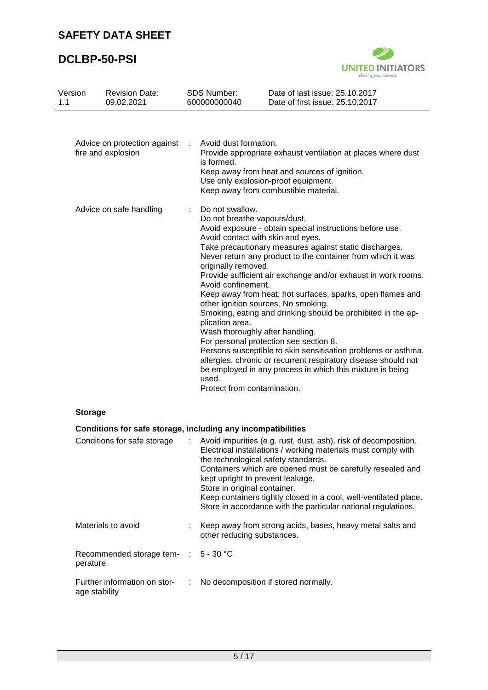

| Version<br>1.1 | <b>Revision Date:</b><br>09.02.2021                          |                                           | SDS Number:<br>600000000040                                                                                                                             | Date of last issue: 25.10.2017<br>Date of first issue: 25.10.2017                                                                                                                                                                                                                                                                                                                                                                                                                                                                                                                                                                                                                                                                         |
|----------------|--------------------------------------------------------------|-------------------------------------------|---------------------------------------------------------------------------------------------------------------------------------------------------------|-------------------------------------------------------------------------------------------------------------------------------------------------------------------------------------------------------------------------------------------------------------------------------------------------------------------------------------------------------------------------------------------------------------------------------------------------------------------------------------------------------------------------------------------------------------------------------------------------------------------------------------------------------------------------------------------------------------------------------------------|
|                | Advice on protection against<br>fire and explosion           | Avoid dust formation.<br>÷<br>is formed.  |                                                                                                                                                         | Provide appropriate exhaust ventilation at places where dust<br>Keep away from heat and sources of ignition.<br>Use only explosion-proof equipment.<br>Keep away from combustible material.                                                                                                                                                                                                                                                                                                                                                                                                                                                                                                                                               |
|                | Advice on safe handling                                      | ÷                                         | Do not swallow.<br>Do not breathe vapours/dust.<br>originally removed.<br>Avoid confinement.<br>plication area.<br>used.<br>Protect from contamination. | Avoid exposure - obtain special instructions before use.<br>Avoid contact with skin and eyes.<br>Take precautionary measures against static discharges.<br>Never return any product to the container from which it was<br>Provide sufficient air exchange and/or exhaust in work rooms.<br>Keep away from heat, hot surfaces, sparks, open flames and<br>other ignition sources. No smoking.<br>Smoking, eating and drinking should be prohibited in the ap-<br>Wash thoroughly after handling.<br>For personal protection see section 8.<br>Persons susceptible to skin sensitisation problems or asthma,<br>allergies, chronic or recurrent respiratory disease should not<br>be employed in any process in which this mixture is being |
| <b>Storage</b> |                                                              |                                           |                                                                                                                                                         |                                                                                                                                                                                                                                                                                                                                                                                                                                                                                                                                                                                                                                                                                                                                           |
|                | Conditions for safe storage, including any incompatibilities |                                           |                                                                                                                                                         |                                                                                                                                                                                                                                                                                                                                                                                                                                                                                                                                                                                                                                                                                                                                           |
|                | Conditions for safe storage                                  |                                           | Store in original container.                                                                                                                            | Avoid impurities (e.g. rust, dust, ash), risk of decomposition.<br>Electrical installations / working materials must comply with<br>the technological safety standards.<br>Containers which are opened must be carefully resealed and<br>kept upright to prevent leakage.<br>Keep containers tightly closed in a cool, well-ventilated place.<br>Store in accordance with the particular national regulations.                                                                                                                                                                                                                                                                                                                            |
|                | Materials to avoid                                           |                                           | other reducing substances.                                                                                                                              | Keep away from strong acids, bases, heavy metal salts and                                                                                                                                                                                                                                                                                                                                                                                                                                                                                                                                                                                                                                                                                 |
| perature       | Recommended storage tem-                                     | $\ddot{\phantom{a}}$                      | $5 - 30 °C$                                                                                                                                             |                                                                                                                                                                                                                                                                                                                                                                                                                                                                                                                                                                                                                                                                                                                                           |
|                | Further information on stor-<br>age stability                | No decomposition if stored normally.<br>÷ |                                                                                                                                                         |                                                                                                                                                                                                                                                                                                                                                                                                                                                                                                                                                                                                                                                                                                                                           |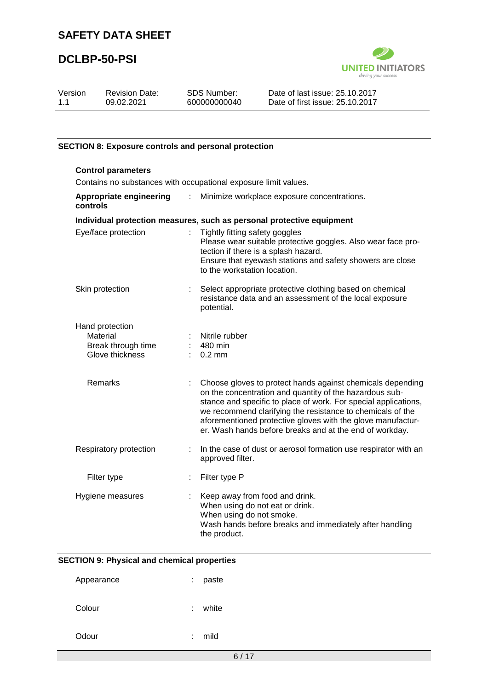# **DCLBP-50-PSI**



| Version | <b>Revision Date:</b> | SDS Number:  | Date of last issue: 25.10.2017  |  |
|---------|-----------------------|--------------|---------------------------------|--|
| 11      | 09.02.2021            | 600000000040 | Date of first issue: 25.10.2017 |  |
|         |                       |              |                                 |  |

#### **SECTION 8: Exposure controls and personal protection**

| <b>Control parameters</b><br>Contains no substances with occupational exposure limit values. |                           |                                                                                                                                                                                                                                                                                                                                                                                  |  |
|----------------------------------------------------------------------------------------------|---------------------------|----------------------------------------------------------------------------------------------------------------------------------------------------------------------------------------------------------------------------------------------------------------------------------------------------------------------------------------------------------------------------------|--|
| Appropriate engineering<br>controls                                                          | $\mathbb{R}^{\mathbb{Z}}$ | Minimize workplace exposure concentrations.                                                                                                                                                                                                                                                                                                                                      |  |
|                                                                                              |                           | Individual protection measures, such as personal protective equipment                                                                                                                                                                                                                                                                                                            |  |
| Eye/face protection                                                                          |                           | Tightly fitting safety goggles<br>Please wear suitable protective goggles. Also wear face pro-<br>tection if there is a splash hazard.<br>Ensure that eyewash stations and safety showers are close<br>to the workstation location.                                                                                                                                              |  |
| Skin protection                                                                              | t.                        | Select appropriate protective clothing based on chemical<br>resistance data and an assessment of the local exposure<br>potential.                                                                                                                                                                                                                                                |  |
| Hand protection<br>Material<br>Break through time<br>Glove thickness                         |                           | Nitrile rubber<br>480 min<br>$0.2$ mm                                                                                                                                                                                                                                                                                                                                            |  |
| Remarks                                                                                      |                           | Choose gloves to protect hands against chemicals depending<br>on the concentration and quantity of the hazardous sub-<br>stance and specific to place of work. For special applications,<br>we recommend clarifying the resistance to chemicals of the<br>aforementioned protective gloves with the glove manufactur-<br>er. Wash hands before breaks and at the end of workday. |  |
| Respiratory protection                                                                       | t.                        | In the case of dust or aerosol formation use respirator with an<br>approved filter.                                                                                                                                                                                                                                                                                              |  |
| Filter type                                                                                  | ÷.                        | Filter type P                                                                                                                                                                                                                                                                                                                                                                    |  |
| Hygiene measures                                                                             |                           | Keep away from food and drink.<br>When using do not eat or drink.<br>When using do not smoke.<br>Wash hands before breaks and immediately after handling<br>the product.                                                                                                                                                                                                         |  |

## **SECTION 9: Physical and chemical properties**

| Appearance | ÷. | paste |
|------------|----|-------|
| Colour     | ۰. | white |
| Odour      | ٠  | mild  |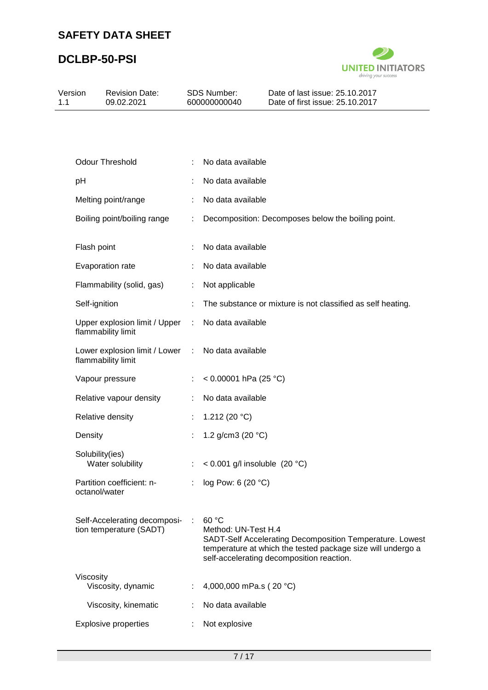

| Version<br>1.1 | <b>Revision Date:</b><br>09.02.2021                     | SDS Number:<br>600000000040 |                                 | Date of last issue: 25.10.2017<br>Date of first issue: 25.10.2017                                                                                                    |
|----------------|---------------------------------------------------------|-----------------------------|---------------------------------|----------------------------------------------------------------------------------------------------------------------------------------------------------------------|
|                |                                                         |                             |                                 |                                                                                                                                                                      |
|                | <b>Odour Threshold</b>                                  | ÷                           | No data available               |                                                                                                                                                                      |
| pH             |                                                         |                             | No data available               |                                                                                                                                                                      |
|                | Melting point/range                                     |                             | No data available               |                                                                                                                                                                      |
|                | Boiling point/boiling range                             |                             |                                 | Decomposition: Decomposes below the boiling point.                                                                                                                   |
|                | Flash point                                             |                             | No data available               |                                                                                                                                                                      |
|                | Evaporation rate                                        |                             | No data available               |                                                                                                                                                                      |
|                | Flammability (solid, gas)                               | ÷                           | Not applicable                  |                                                                                                                                                                      |
|                | Self-ignition                                           |                             |                                 | The substance or mixture is not classified as self heating.                                                                                                          |
|                | Upper explosion limit / Upper<br>flammability limit     |                             | No data available               |                                                                                                                                                                      |
|                | Lower explosion limit / Lower<br>flammability limit     | ÷                           | No data available               |                                                                                                                                                                      |
|                | Vapour pressure                                         |                             | < $0.00001$ hPa (25 °C)         |                                                                                                                                                                      |
|                | Relative vapour density                                 | ÷                           | No data available               |                                                                                                                                                                      |
|                | Relative density                                        |                             | 1.212 (20 $°C$ )                |                                                                                                                                                                      |
| Density        |                                                         |                             | 1.2 g/cm3 (20 °C)               |                                                                                                                                                                      |
|                | Solubility(ies)<br>Water solubility                     |                             | < $0.001$ g/l insoluble (20 °C) |                                                                                                                                                                      |
|                | Partition coefficient: n-<br>octanol/water              |                             | log Pow: 6 (20 °C)              |                                                                                                                                                                      |
|                | Self-Accelerating decomposi-<br>tion temperature (SADT) |                             | 60 °C<br>Method: UN-Test H.4    | SADT-Self Accelerating Decomposition Temperature. Lowest<br>temperature at which the tested package size will undergo a<br>self-accelerating decomposition reaction. |
|                | Viscosity<br>Viscosity, dynamic                         |                             | 4,000,000 mPa.s (20 °C)         |                                                                                                                                                                      |
|                | Viscosity, kinematic                                    |                             | No data available               |                                                                                                                                                                      |
|                | <b>Explosive properties</b>                             |                             | Not explosive                   |                                                                                                                                                                      |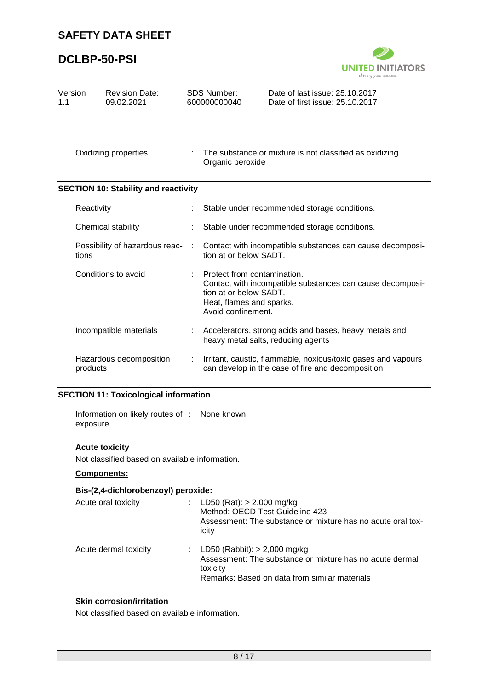## **DCLBP-50-PSI**



| Version<br>1.1 |            | <b>Revision Date:</b><br>09.02.2021                              |   | <b>SDS Number:</b><br>600000000040                                                                                                                                   | Date of last issue: 25.10.2017<br>Date of first issue: 25.10.2017                                                  |
|----------------|------------|------------------------------------------------------------------|---|----------------------------------------------------------------------------------------------------------------------------------------------------------------------|--------------------------------------------------------------------------------------------------------------------|
|                |            | Oxidizing properties                                             | ÷ | Organic peroxide                                                                                                                                                     | The substance or mixture is not classified as oxidizing.                                                           |
|                |            | <b>SECTION 10: Stability and reactivity</b>                      |   |                                                                                                                                                                      |                                                                                                                    |
|                | Reactivity |                                                                  |   |                                                                                                                                                                      | Stable under recommended storage conditions.                                                                       |
|                |            | Chemical stability                                               |   |                                                                                                                                                                      | Stable under recommended storage conditions.                                                                       |
|                | tions      | Possibility of hazardous reac-                                   |   | tion at or below SADT.                                                                                                                                               | Contact with incompatible substances can cause decomposi-                                                          |
|                |            | Conditions to avoid                                              |   | Protect from contamination.<br>Contact with incompatible substances can cause decomposi-<br>tion at or below SADT.<br>Heat, flames and sparks.<br>Avoid confinement. |                                                                                                                    |
|                |            | Incompatible materials                                           |   | Accelerators, strong acids and bases, heavy metals and<br>heavy metal salts, reducing agents                                                                         |                                                                                                                    |
|                | products   | Hazardous decomposition<br>CECTION 44. Tayloologiaal information | ÷ |                                                                                                                                                                      | Irritant, caustic, flammable, noxious/toxic gases and vapours<br>can develop in the case of fire and decomposition |

### **SECTION 11: Toxicological information**

Information on likely routes of : None known. exposure

## **Acute toxicity**

Not classified based on available information.

## **Components:**

## **Bis-(2,4-dichlorobenzoyl) peroxide:**

| Acute oral toxicity   | t.             | LD50 (Rat): $> 2,000$ mg/kg<br>Method: OECD Test Guideline 423<br>Assessment: The substance or mixture has no acute oral tox-<br>icity                  |
|-----------------------|----------------|---------------------------------------------------------------------------------------------------------------------------------------------------------|
| Acute dermal toxicity | $\mathbb{R}^n$ | LD50 (Rabbit): $> 2,000$ mg/kg<br>Assessment: The substance or mixture has no acute dermal<br>toxicity<br>Remarks: Based on data from similar materials |

### **Skin corrosion/irritation**

Not classified based on available information.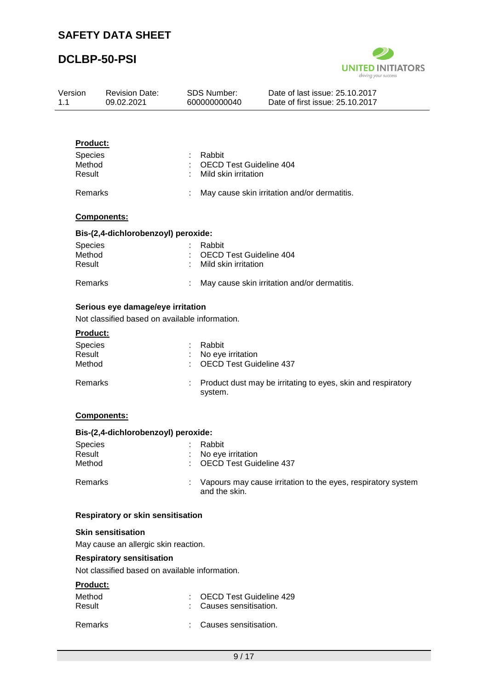

| Version<br>1.1 | <b>Revision Date:</b><br>09.02.2021                                                 | <b>SDS Number:</b><br>600000000040                               | Date of last issue: 25.10.2017<br>Date of first issue: 25.10.2017 |
|----------------|-------------------------------------------------------------------------------------|------------------------------------------------------------------|-------------------------------------------------------------------|
|                |                                                                                     |                                                                  |                                                                   |
|                | <b>Product:</b><br>Species<br>Method<br>Result                                      | Rabbit<br><b>OECD Test Guideline 404</b><br>Mild skin irritation |                                                                   |
|                | Remarks                                                                             |                                                                  | May cause skin irritation and/or dermatitis.                      |
|                | Components:                                                                         |                                                                  |                                                                   |
|                | Bis-(2,4-dichlorobenzoyl) peroxide:                                                 |                                                                  |                                                                   |
|                | Species<br>Method<br>Result                                                         | Rabbit<br><b>OECD Test Guideline 404</b><br>Mild skin irritation |                                                                   |
|                | Remarks                                                                             |                                                                  | May cause skin irritation and/or dermatitis.                      |
|                | Serious eye damage/eye irritation<br>Not classified based on available information. |                                                                  |                                                                   |
|                | <u>Product:</u><br><b>Species</b><br>Result<br>Method                               | Rabbit<br>No eye irritation<br><b>OECD Test Guideline 437</b>    |                                                                   |
|                | Remarks                                                                             | system.                                                          | Product dust may be irritating to eyes, skin and respiratory      |
|                | <b>Components:</b>                                                                  |                                                                  |                                                                   |
|                | Bis-(2,4-dichlorobenzoyl) peroxide:                                                 |                                                                  |                                                                   |
|                | Species<br>Result<br>Method                                                         | Rabbit<br>No eye irritation<br><b>OECD Test Guideline 437</b>    |                                                                   |
|                | Remarks                                                                             | and the skin.                                                    | Vapours may cause irritation to the eyes, respiratory system      |
|                | <b>Respiratory or skin sensitisation</b>                                            |                                                                  |                                                                   |
|                | <b>Skin sensitisation</b>                                                           |                                                                  |                                                                   |
|                | May cause an allergic skin reaction.                                                |                                                                  |                                                                   |
|                | <b>Respiratory sensitisation</b><br>Not classified based on available information.  |                                                                  |                                                                   |
|                | Product:                                                                            |                                                                  |                                                                   |
|                | Method<br>Result                                                                    | <b>OECD Test Guideline 429</b><br>Causes sensitisation.          |                                                                   |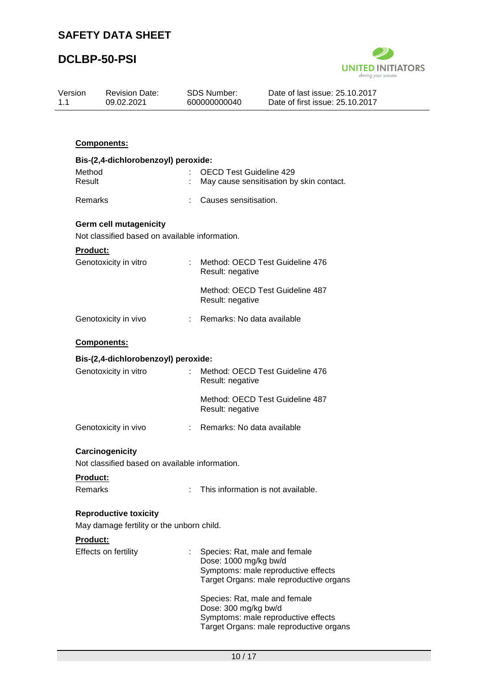

| Version<br>1.1 | <b>Revision Date:</b><br>09.02.2021                                             | <b>SDS Number:</b><br>600000000040 | Date of last issue: 25.10.2017<br>Date of first issue: 25.10.2017                                               |  |
|----------------|---------------------------------------------------------------------------------|------------------------------------|-----------------------------------------------------------------------------------------------------------------|--|
|                |                                                                                 |                                    |                                                                                                                 |  |
|                | Components:                                                                     |                                    |                                                                                                                 |  |
|                | Bis-(2,4-dichlorobenzoyl) peroxide:                                             |                                    |                                                                                                                 |  |
|                | Method<br>Result                                                                |                                    | <b>OECD Test Guideline 429</b><br>May cause sensitisation by skin contact.                                      |  |
|                | Remarks                                                                         | Causes sensitisation.              |                                                                                                                 |  |
|                | <b>Germ cell mutagenicity</b><br>Not classified based on available information. |                                    |                                                                                                                 |  |
|                | <b>Product:</b>                                                                 |                                    |                                                                                                                 |  |
|                | Genotoxicity in vitro                                                           | t.<br>Result: negative             | Method: OECD Test Guideline 476                                                                                 |  |
|                |                                                                                 | Result: negative                   | Method: OECD Test Guideline 487                                                                                 |  |
|                | Genotoxicity in vivo                                                            | : Remarks: No data available       |                                                                                                                 |  |
|                | Components:                                                                     |                                    |                                                                                                                 |  |
|                | Bis-(2,4-dichlorobenzoyl) peroxide:                                             |                                    |                                                                                                                 |  |
|                | Genotoxicity in vitro                                                           | Result: negative                   | Method: OECD Test Guideline 476                                                                                 |  |
|                |                                                                                 | Result: negative                   | Method: OECD Test Guideline 487                                                                                 |  |
|                | Genotoxicity in vivo                                                            |                                    | Remarks: No data available                                                                                      |  |
|                | Carcinogenicity<br>Not classified based on available information.               |                                    |                                                                                                                 |  |
|                | Product:                                                                        |                                    |                                                                                                                 |  |
|                | Remarks                                                                         | t.                                 | This information is not available.                                                                              |  |
|                | <b>Reproductive toxicity</b>                                                    |                                    |                                                                                                                 |  |
|                | May damage fertility or the unborn child.                                       |                                    |                                                                                                                 |  |
|                | <b>Product:</b>                                                                 |                                    |                                                                                                                 |  |
|                | Effects on fertility                                                            | Dose: 1000 mg/kg bw/d              | Species: Rat, male and female<br>Symptoms: male reproductive effects<br>Target Organs: male reproductive organs |  |
|                |                                                                                 | Dose: 300 mg/kg bw/d               | Species: Rat, male and female<br>Symptoms: male reproductive effects<br>Target Organs: male reproductive organs |  |
|                |                                                                                 |                                    |                                                                                                                 |  |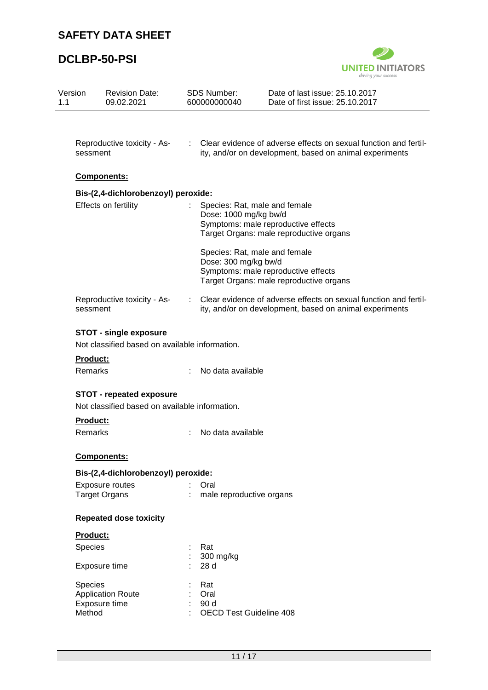

| Version<br>1.1 | <b>Revision Date:</b><br>09.02.2021                                   |    | <b>SDS Number:</b><br>600000000040                    | Date of last issue: 25.10.2017<br>Date of first issue: 25.10.2017                                                           |  |  |
|----------------|-----------------------------------------------------------------------|----|-------------------------------------------------------|-----------------------------------------------------------------------------------------------------------------------------|--|--|
|                |                                                                       |    |                                                       |                                                                                                                             |  |  |
|                | Reproductive toxicity - As-<br>sessment                               | t. |                                                       | Clear evidence of adverse effects on sexual function and fertil-<br>ity, and/or on development, based on animal experiments |  |  |
|                | Components:                                                           |    |                                                       |                                                                                                                             |  |  |
|                | Bis-(2,4-dichlorobenzoyl) peroxide:                                   |    |                                                       |                                                                                                                             |  |  |
|                | Effects on fertility                                                  |    | Dose: 1000 mg/kg bw/d                                 | Species: Rat, male and female<br>Symptoms: male reproductive effects<br>Target Organs: male reproductive organs             |  |  |
|                |                                                                       |    | Dose: 300 mg/kg bw/d                                  | Species: Rat, male and female<br>Symptoms: male reproductive effects<br>Target Organs: male reproductive organs             |  |  |
|                | Reproductive toxicity - As-<br>sessment                               | t. |                                                       | Clear evidence of adverse effects on sexual function and fertil-<br>ity, and/or on development, based on animal experiments |  |  |
|                | <b>STOT - single exposure</b>                                         |    |                                                       |                                                                                                                             |  |  |
|                | Not classified based on available information.                        |    |                                                       |                                                                                                                             |  |  |
|                | <b>Product:</b>                                                       |    |                                                       |                                                                                                                             |  |  |
|                | Remarks                                                               |    | No data available                                     |                                                                                                                             |  |  |
|                | <b>STOT - repeated exposure</b>                                       |    |                                                       |                                                                                                                             |  |  |
|                | Not classified based on available information.                        |    |                                                       |                                                                                                                             |  |  |
|                | <b>Product:</b>                                                       |    |                                                       |                                                                                                                             |  |  |
|                | Remarks                                                               |    | No data available                                     |                                                                                                                             |  |  |
|                | Components:                                                           |    |                                                       |                                                                                                                             |  |  |
|                | Bis-(2,4-dichlorobenzoyl) peroxide:                                   |    |                                                       |                                                                                                                             |  |  |
|                | Exposure routes                                                       |    | Oral                                                  |                                                                                                                             |  |  |
|                | <b>Target Organs</b>                                                  |    | male reproductive organs                              |                                                                                                                             |  |  |
|                | <b>Repeated dose toxicity</b>                                         |    |                                                       |                                                                                                                             |  |  |
|                | Product:                                                              |    |                                                       |                                                                                                                             |  |  |
|                | <b>Species</b>                                                        |    | Rat                                                   |                                                                                                                             |  |  |
|                | Exposure time                                                         |    | 300 mg/kg<br>28 d                                     |                                                                                                                             |  |  |
|                | <b>Species</b><br><b>Application Route</b><br>Exposure time<br>Method |    | Rat<br>Oral<br>90 d<br><b>OECD Test Guideline 408</b> |                                                                                                                             |  |  |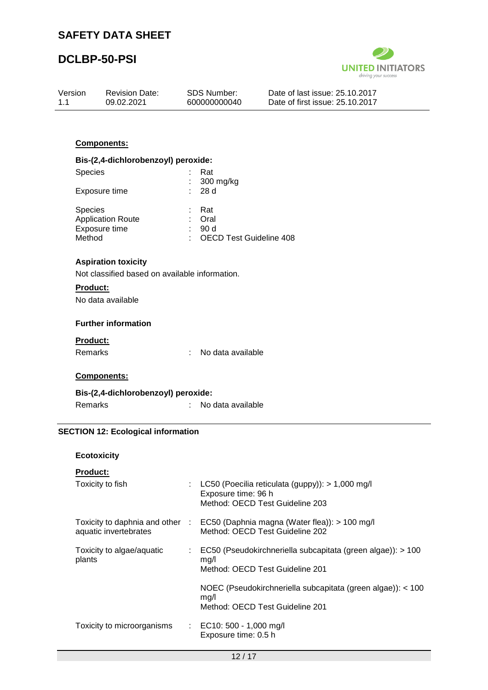

| Version<br>1.1  | <b>Revision Date:</b><br>09.02.2021            | <b>SDS Number:</b><br>600000000040 | Date of last issue: 25.10.2017<br>Date of first issue: 25.10.2017 |
|-----------------|------------------------------------------------|------------------------------------|-------------------------------------------------------------------|
|                 |                                                |                                    |                                                                   |
|                 | <b>Components:</b>                             |                                    |                                                                   |
|                 | Bis-(2,4-dichlorobenzoyl) peroxide:            |                                    |                                                                   |
| <b>Species</b>  |                                                | Rat<br>300 mg/kg                   |                                                                   |
|                 | Exposure time                                  | 28d                                |                                                                   |
| <b>Species</b>  |                                                | Rat                                |                                                                   |
|                 | <b>Application Route</b><br>Exposure time      | Oral<br>: 90d                      |                                                                   |
| Method          |                                                | <b>OECD Test Guideline 408</b>     |                                                                   |
|                 | <b>Aspiration toxicity</b>                     |                                    |                                                                   |
|                 | Not classified based on available information. |                                    |                                                                   |
| <b>Product:</b> |                                                |                                    |                                                                   |
|                 | No data available                              |                                    |                                                                   |

**Further information**

## **Product:**

### **Components:**

| Bis-(2,4-dichlorobenzoyl) peroxide: |                   |
|-------------------------------------|-------------------|
| Remarks                             | No data available |

## **SECTION 12: Ecological information**

## **Ecotoxicity**

| Toxicity to fish                    | LC50 (Poecilia reticulata (guppy)): > 1,000 mg/l<br>Exposure time: 96 h<br>Method: OECD Test Guideline 203          |
|-------------------------------------|---------------------------------------------------------------------------------------------------------------------|
| aquatic invertebrates               | Toxicity to daphnia and other : EC50 (Daphnia magna (Water flea)): > 100 mg/l<br>Method: OECD Test Guideline 202    |
| Toxicity to algae/aquatic<br>plants | $\therefore$ EC50 (Pseudokirchneriella subcapitata (green algae)): > 100<br>mq/l<br>Method: OECD Test Guideline 201 |
|                                     | NOEC (Pseudokirchneriella subcapitata (green algae)): < 100<br>mq/l<br>Method: OECD Test Guideline 201              |
| Toxicity to microorganisms          | : EC10: 500 - 1,000 mg/l<br>Exposure time: 0.5 h                                                                    |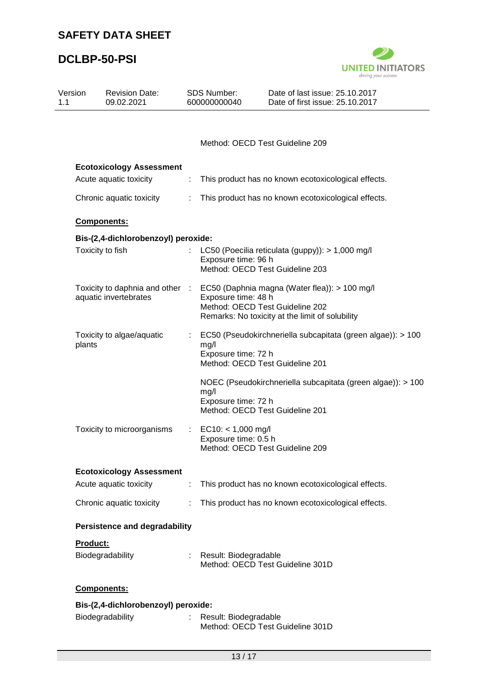

| Version<br>1.1  | <b>Revision Date:</b><br>09.02.2021  |   | SDS Number:<br>600000000040                         | Date of last issue: 25.10.2017<br>Date of first issue: 25.10.2017                                                                                                   |  |
|-----------------|--------------------------------------|---|-----------------------------------------------------|---------------------------------------------------------------------------------------------------------------------------------------------------------------------|--|
|                 |                                      |   |                                                     | Method: OECD Test Guideline 209                                                                                                                                     |  |
|                 |                                      |   |                                                     |                                                                                                                                                                     |  |
|                 | <b>Ecotoxicology Assessment</b>      |   |                                                     |                                                                                                                                                                     |  |
|                 | Acute aquatic toxicity               | ÷ |                                                     | This product has no known ecotoxicological effects.                                                                                                                 |  |
|                 | Chronic aquatic toxicity             |   | This product has no known ecotoxicological effects. |                                                                                                                                                                     |  |
|                 | Components:                          |   |                                                     |                                                                                                                                                                     |  |
|                 | Bis-(2,4-dichlorobenzoyl) peroxide:  |   |                                                     |                                                                                                                                                                     |  |
|                 | Toxicity to fish                     |   | Exposure time: 96 h                                 | LC50 (Poecilia reticulata (guppy)): > 1,000 mg/l<br>Method: OECD Test Guideline 203                                                                                 |  |
|                 | aquatic invertebrates                |   | Exposure time: 48 h                                 | Toxicity to daphnia and other : EC50 (Daphnia magna (Water flea)): > 100 mg/l<br>Method: OECD Test Guideline 202<br>Remarks: No toxicity at the limit of solubility |  |
| plants          | Toxicity to algae/aquatic            |   | mg/l<br>Exposure time: 72 h                         | EC50 (Pseudokirchneriella subcapitata (green algae)): > 100<br>Method: OECD Test Guideline 201                                                                      |  |
|                 |                                      |   | mg/l<br>Exposure time: 72 h                         | NOEC (Pseudokirchneriella subcapitata (green algae)): > 100<br>Method: OECD Test Guideline 201                                                                      |  |
|                 | Toxicity to microorganisms           |   | $EC10: < 1,000$ mg/l<br>Exposure time: 0.5 h        | Method: OECD Test Guideline 209                                                                                                                                     |  |
|                 | <b>Ecotoxicology Assessment</b>      |   |                                                     |                                                                                                                                                                     |  |
|                 | Acute aquatic toxicity               | t |                                                     | This product has no known ecotoxicological effects.                                                                                                                 |  |
|                 | Chronic aquatic toxicity             | ÷ |                                                     | This product has no known ecotoxicological effects.                                                                                                                 |  |
|                 | <b>Persistence and degradability</b> |   |                                                     |                                                                                                                                                                     |  |
| <b>Product:</b> | Biodegradability                     |   | Result: Biodegradable                               | Method: OECD Test Guideline 301D                                                                                                                                    |  |
|                 | Components:                          |   |                                                     |                                                                                                                                                                     |  |
|                 | Bis-(2,4-dichlorobenzoyl) peroxide:  |   |                                                     |                                                                                                                                                                     |  |
|                 | Biodegradability                     | t | Result: Biodegradable                               | Method: OECD Test Guideline 301D                                                                                                                                    |  |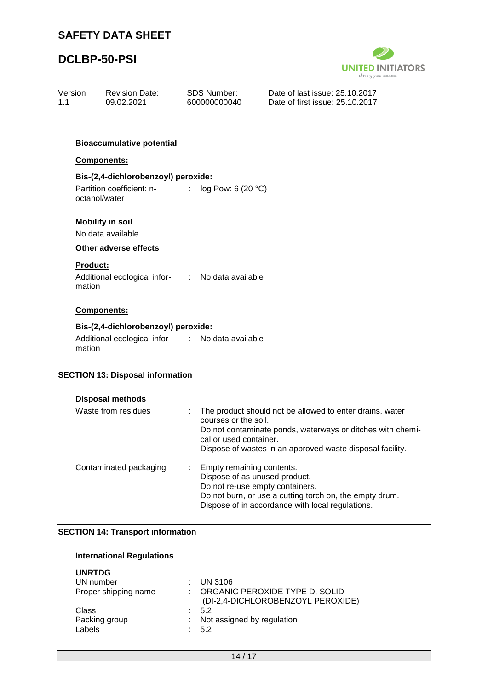

| Version<br>1.1            | <b>Revision Date:</b><br>09.02.2021                                               | <b>SDS Number:</b><br>600000000040 | Date of last issue: 25.10.2017<br>Date of first issue: 25.10.2017 |  |
|---------------------------|-----------------------------------------------------------------------------------|------------------------------------|-------------------------------------------------------------------|--|
|                           | <b>Bioaccumulative potential</b>                                                  |                                    |                                                                   |  |
|                           | Components:                                                                       |                                    |                                                                   |  |
|                           | Bis-(2,4-dichlorobenzoyl) peroxide:<br>Partition coefficient: n-<br>octanol/water | log Pow: 6 (20 °C)<br>÷.           |                                                                   |  |
|                           | <b>Mobility in soil</b><br>No data available                                      |                                    |                                                                   |  |
|                           | Other adverse effects                                                             |                                    |                                                                   |  |
| <b>Product:</b><br>mation | Additional ecological infor- : No data available                                  |                                    |                                                                   |  |
|                           | Components:                                                                       |                                    |                                                                   |  |
|                           | Bis-(2,4-dichlorobenzoyl) peroxide:                                               |                                    |                                                                   |  |
| mation                    | Additional ecological infor- : No data available                                  |                                    |                                                                   |  |
|                           | <b>SECTION 13: Disposal information</b>                                           |                                    |                                                                   |  |

| Disposal methods       |                                                                                                                                                                                                                                         |
|------------------------|-----------------------------------------------------------------------------------------------------------------------------------------------------------------------------------------------------------------------------------------|
| Waste from residues    | : The product should not be allowed to enter drains, water<br>courses or the soil.<br>Do not contaminate ponds, waterways or ditches with chemi-<br>cal or used container.<br>Dispose of wastes in an approved waste disposal facility. |
| Contaminated packaging | : Empty remaining contents.<br>Dispose of as unused product.<br>Do not re-use empty containers.<br>Do not burn, or use a cutting torch on, the empty drum.<br>Dispose of in accordance with local regulations.                          |

## **SECTION 14: Transport information**

## **International Regulations**

| $:$ UN 3106                       |
|-----------------------------------|
| : ORGANIC PEROXIDE TYPE D, SOLID  |
| (DI-2,4-DICHLOROBENZOYL PEROXIDE) |
| $\therefore$ 5.2                  |
| Not assigned by regulation        |
| : 5.2                             |
|                                   |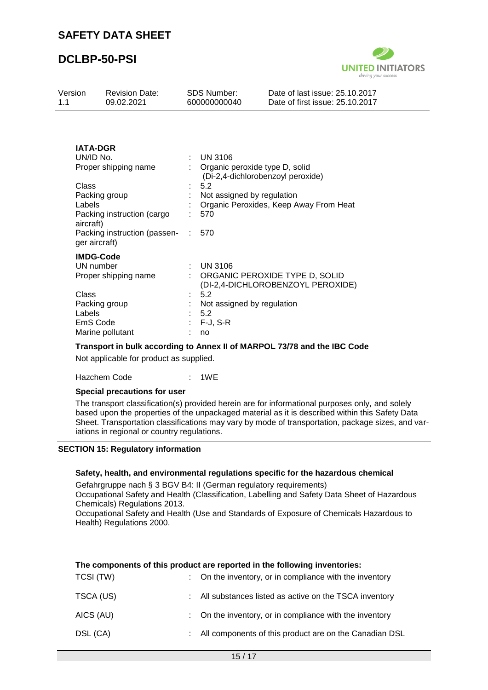

| Version<br>1.1                                                                                                                                                                       | <b>Revision Date:</b><br>09.02.2021                                                                    |         | <b>SDS Number:</b><br>600000000040                                                                                                                                                 | Date of last issue: 25.10.2017<br>Date of first issue: 25.10.2017   |  |
|--------------------------------------------------------------------------------------------------------------------------------------------------------------------------------------|--------------------------------------------------------------------------------------------------------|---------|------------------------------------------------------------------------------------------------------------------------------------------------------------------------------------|---------------------------------------------------------------------|--|
| <b>IATA-DGR</b><br>UN/ID No.<br>Proper shipping name<br>Class<br>Packing group<br>Labels<br>Packing instruction (cargo<br>aircraft)<br>Packing instruction (passen-<br>ger aircraft) |                                                                                                        | t.      | <b>UN 3106</b><br>Organic peroxide type D, solid<br>(Di-2,4-dichlorobenzoyl peroxide)<br>5.2<br>Not assigned by regulation<br>Organic Peroxides, Keep Away From Heat<br>570<br>570 |                                                                     |  |
| Class<br>Labels                                                                                                                                                                      | <b>IMDG-Code</b><br>UN number<br>Proper shipping name<br>Packing group<br>EmS Code<br>Marine pollutant | ÷<br>÷. | <b>UN 3106</b><br>5.2<br>Not assigned by regulation<br>5.2<br>$F-J, S-R$<br>no                                                                                                     | ORGANIC PEROXIDE TYPE D, SOLID<br>(DI-2,4-DICHLOROBENZOYL PEROXIDE) |  |

#### **Transport in bulk according to Annex II of MARPOL 73/78 and the IBC Code**

Not applicable for product as supplied.

Hazchem Code : 1WE

### **Special precautions for user**

The transport classification(s) provided herein are for informational purposes only, and solely based upon the properties of the unpackaged material as it is described within this Safety Data Sheet. Transportation classifications may vary by mode of transportation, package sizes, and variations in regional or country regulations.

#### **SECTION 15: Regulatory information**

#### **Safety, health, and environmental regulations specific for the hazardous chemical**

Gefahrgruppe nach § 3 BGV B4: II (German regulatory requirements) Occupational Safety and Health (Classification, Labelling and Safety Data Sheet of Hazardous Chemicals) Regulations 2013.

Occupational Safety and Health (Use and Standards of Exposure of Chemicals Hazardous to Health) Regulations 2000.

| The components of this product are reported in the following inventories: |  |                                                         |  |  |  |
|---------------------------------------------------------------------------|--|---------------------------------------------------------|--|--|--|
| TCSI (TW)                                                                 |  | : On the inventory, or in compliance with the inventory |  |  |  |
| TSCA (US)                                                                 |  | All substances listed as active on the TSCA inventory   |  |  |  |
| AICS (AU)                                                                 |  | : On the inventory, or in compliance with the inventory |  |  |  |
| DSL (CA)                                                                  |  | All components of this product are on the Canadian DSL  |  |  |  |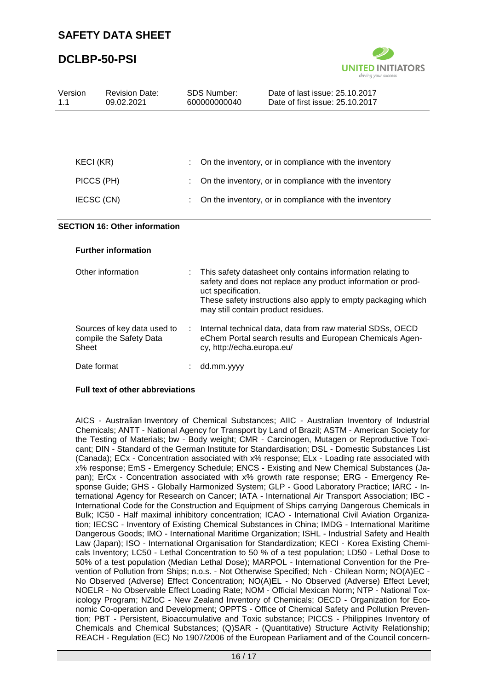

| Version<br>1.1 | <b>Revision Date:</b><br>09.02.2021                    |    | <b>SDS Number:</b><br>600000000040                        | Date of last issue: 25.10.2017<br>Date of first issue: 25.10.2017                                                                                                                            |
|----------------|--------------------------------------------------------|----|-----------------------------------------------------------|----------------------------------------------------------------------------------------------------------------------------------------------------------------------------------------------|
|                |                                                        |    |                                                           |                                                                                                                                                                                              |
|                |                                                        |    |                                                           |                                                                                                                                                                                              |
|                | KECI (KR)                                              |    |                                                           | On the inventory, or in compliance with the inventory                                                                                                                                        |
| PICCS (PH)     |                                                        |    |                                                           | On the inventory, or in compliance with the inventory                                                                                                                                        |
| IECSC (CN)     |                                                        |    |                                                           | On the inventory, or in compliance with the inventory                                                                                                                                        |
|                | <b>SECTION 16: Other information</b>                   |    |                                                           |                                                                                                                                                                                              |
|                | <b>Further information</b>                             |    |                                                           |                                                                                                                                                                                              |
|                | Other information                                      |    | uct specification.<br>may still contain product residues. | This safety datasheet only contains information relating to<br>safety and does not replace any product information or prod-<br>These safety instructions also apply to empty packaging which |
| Sheet          | Sources of key data used to<br>compile the Safety Data | ÷. | cy, http://echa.europa.eu/                                | Internal technical data, data from raw material SDSs, OECD<br>eChem Portal search results and European Chemicals Agen-                                                                       |
|                | Date format                                            |    | dd.mm.yyyy                                                |                                                                                                                                                                                              |

## **Full text of other abbreviations**

AICS - Australian Inventory of Chemical Substances; AIIC - Australian Inventory of Industrial Chemicals; ANTT - National Agency for Transport by Land of Brazil; ASTM - American Society for the Testing of Materials; bw - Body weight; CMR - Carcinogen, Mutagen or Reproductive Toxicant; DIN - Standard of the German Institute for Standardisation; DSL - Domestic Substances List (Canada); ECx - Concentration associated with x% response; ELx - Loading rate associated with x% response; EmS - Emergency Schedule; ENCS - Existing and New Chemical Substances (Japan); ErCx - Concentration associated with x% growth rate response; ERG - Emergency Response Guide; GHS - Globally Harmonized System; GLP - Good Laboratory Practice; IARC - International Agency for Research on Cancer; IATA - International Air Transport Association; IBC - International Code for the Construction and Equipment of Ships carrying Dangerous Chemicals in Bulk; IC50 - Half maximal inhibitory concentration; ICAO - International Civil Aviation Organization; IECSC - Inventory of Existing Chemical Substances in China; IMDG - International Maritime Dangerous Goods; IMO - International Maritime Organization; ISHL - Industrial Safety and Health Law (Japan); ISO - International Organisation for Standardization; KECI - Korea Existing Chemicals Inventory; LC50 - Lethal Concentration to 50 % of a test population; LD50 - Lethal Dose to 50% of a test population (Median Lethal Dose); MARPOL - International Convention for the Prevention of Pollution from Ships; n.o.s. - Not Otherwise Specified; Nch - Chilean Norm; NO(A)EC - No Observed (Adverse) Effect Concentration; NO(A)EL - No Observed (Adverse) Effect Level; NOELR - No Observable Effect Loading Rate; NOM - Official Mexican Norm; NTP - National Toxicology Program; NZIoC - New Zealand Inventory of Chemicals; OECD - Organization for Economic Co-operation and Development; OPPTS - Office of Chemical Safety and Pollution Prevention; PBT - Persistent, Bioaccumulative and Toxic substance; PICCS - Philippines Inventory of Chemicals and Chemical Substances; (Q)SAR - (Quantitative) Structure Activity Relationship; REACH - Regulation (EC) No 1907/2006 of the European Parliament and of the Council concern-